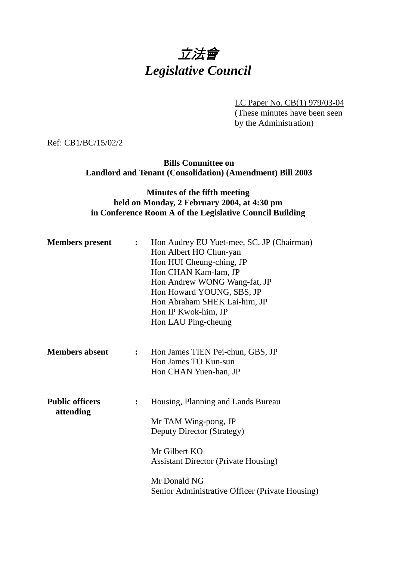# 立法會 *Legislative Council*

LC Paper No. CB(1) 979/03-04 (These minutes have been seen

by the Administration)

Ref: CB1/BC/15/02/2

**Bills Committee on Landlord and Tenant (Consolidation) (Amendment) Bill 2003**

### **Minutes of the fifth meeting held on Monday, 2 February 2004, at 4:30 pm in Conference Room A of the Legislative Council Building**

| <b>Members</b> present              | $\ddot{\cdot}$ | Hon Audrey EU Yuet-mee, SC, JP (Chairman)<br>Hon Albert HO Chun-yan<br>Hon HUI Cheung-ching, JP<br>Hon CHAN Kam-lam, JP<br>Hon Andrew WONG Wang-fat, JP<br>Hon Howard YOUNG, SBS, JP<br>Hon Abraham SHEK Lai-him, JP<br>Hon IP Kwok-him, JP<br>Hon LAU Ping-cheung |
|-------------------------------------|----------------|--------------------------------------------------------------------------------------------------------------------------------------------------------------------------------------------------------------------------------------------------------------------|
| <b>Members absent</b>               | $\mathbf{L}$   | Hon James TIEN Pei-chun, GBS, JP<br>Hon James TO Kun-sun<br>Hon CHAN Yuen-han, JP                                                                                                                                                                                  |
| <b>Public officers</b><br>attending | $\ddot{\cdot}$ | Housing, Planning and Lands Bureau<br>Mr TAM Wing-pong, JP<br><b>Deputy Director (Strategy)</b><br>Mr Gilbert KO<br><b>Assistant Director (Private Housing)</b><br>Mr Donald NG<br>Senior Administrative Officer (Private Housing)                                 |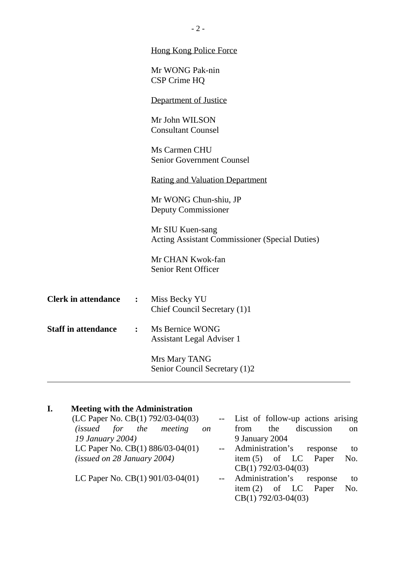|                            |                  | <b>Hong Kong Police Force</b>                         |
|----------------------------|------------------|-------------------------------------------------------|
|                            |                  | Mr WONG Pak-nin                                       |
|                            |                  | CSP Crime HQ                                          |
|                            |                  | Department of Justice                                 |
|                            |                  | Mr John WILSON                                        |
|                            |                  | <b>Consultant Counsel</b>                             |
|                            |                  | Ms Carmen CHU                                         |
|                            |                  | <b>Senior Government Counsel</b>                      |
|                            |                  | <b>Rating and Valuation Department</b>                |
|                            |                  | Mr WONG Chun-shiu, JP                                 |
|                            |                  | Deputy Commissioner                                   |
|                            |                  | Mr SIU Kuen-sang                                      |
|                            |                  | <b>Acting Assistant Commissioner (Special Duties)</b> |
|                            |                  | Mr CHAN Kwok-fan                                      |
|                            |                  | <b>Senior Rent Officer</b>                            |
|                            |                  |                                                       |
| <b>Clerk in attendance</b> | $\ddot{\bullet}$ | Miss Becky YU                                         |
|                            |                  | Chief Council Secretary (1)1                          |
| <b>Staff in attendance</b> | $\ddot{\cdot}$   | Ms Bernice WONG                                       |
|                            |                  | <b>Assistant Legal Adviser 1</b>                      |
|                            |                  | Mrs Mary TANG                                         |
|                            |                  | Senior Council Secretary (1)2                         |
|                            |                  |                                                       |

## **I. Meeting with the Administration**

| (LC Paper No. CB(1) 792/03-04(03)        | -- List of follow-up actions arising  |
|------------------------------------------|---------------------------------------|
| (issued for the meeting<br><sub>on</sub> | discussion<br>the<br>from<br>on       |
| 19 January 2004)                         | 9 January 2004                        |
| LC Paper No. CB(1) 886/03-04(01)         | -- Administration's response<br>to    |
| (isused on 28 January 2004)              | item $(5)$ of LC<br>Paper<br>No.      |
|                                          | $CB(1) 792/03-04(03)$                 |
| LC Paper No. $CB(1)$ 901/03-04(01)       | -- Administration's<br>response<br>to |
|                                          | item $(2)$ of LC<br>Paper<br>No.      |
|                                          | $CB(1) 792/03-04(03)$                 |

- 2 -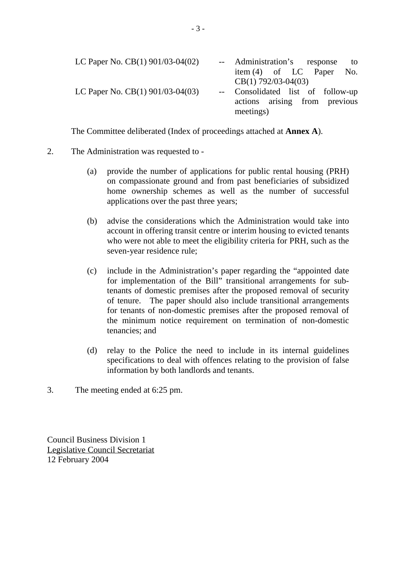| LC Paper No. $CB(1)$ 901/03-04(02) | -- Administration's response to   |  |  |  |  |  |
|------------------------------------|-----------------------------------|--|--|--|--|--|
|                                    | item $(4)$ of LC Paper No.        |  |  |  |  |  |
|                                    | $CB(1) 792/03-04(03)$             |  |  |  |  |  |
| LC Paper No. $CB(1)$ 901/03-04(03) | -- Consolidated list of follow-up |  |  |  |  |  |
|                                    | actions arising from previous     |  |  |  |  |  |
|                                    | meetings)                         |  |  |  |  |  |

The Committee deliberated (Index of proceedings attached at **Annex A**).

### 2. The Administration was requested to -

- (a) provide the number of applications for public rental housing (PRH) on compassionate ground and from past beneficiaries of subsidized home ownership schemes as well as the number of successful applications over the past three years;
- (b) advise the considerations which the Administration would take into account in offering transit centre or interim housing to evicted tenants who were not able to meet the eligibility criteria for PRH, such as the seven-year residence rule;
- (c) include in the Administration's paper regarding the "appointed date for implementation of the Bill" transitional arrangements for subtenants of domestic premises after the proposed removal of security of tenure. The paper should also include transitional arrangements for tenants of non-domestic premises after the proposed removal of the minimum notice requirement on termination of non-domestic tenancies; and
- (d) relay to the Police the need to include in its internal guidelines specifications to deal with offences relating to the provision of false information by both landlords and tenants.
- 3. The meeting ended at 6:25 pm.

Council Business Division 1 Legislative Council Secretariat 12 February 2004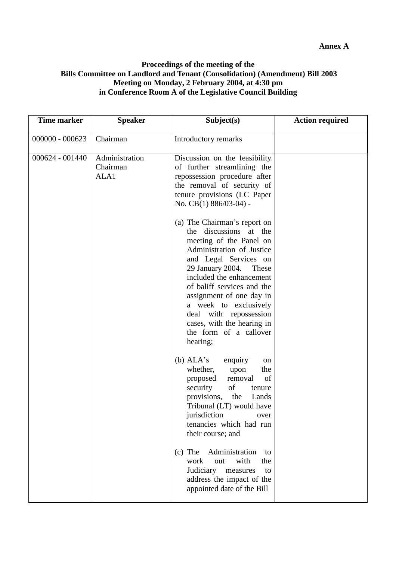#### **Proceedings of the meeting of the Bills Committee on Landlord and Tenant (Consolidation) (Amendment) Bill 2003 Meeting on Monday, 2 February 2004, at 4:30 pm in Conference Room A of the Legislative Council Building**

| <b>Time marker</b> | <b>Speaker</b>                     | Subject(s)                                                                                                                                                                                                                                                                                                                                                                        | <b>Action required</b> |
|--------------------|------------------------------------|-----------------------------------------------------------------------------------------------------------------------------------------------------------------------------------------------------------------------------------------------------------------------------------------------------------------------------------------------------------------------------------|------------------------|
| $000000 - 000623$  | Chairman                           | Introductory remarks                                                                                                                                                                                                                                                                                                                                                              |                        |
| $000624 - 001440$  | Administration<br>Chairman<br>ALA1 | Discussion on the feasibility<br>of further streamlining the<br>repossession procedure after<br>the removal of security of<br>tenure provisions (LC Paper<br>No. CB(1) 886/03-04) -                                                                                                                                                                                               |                        |
|                    |                                    | (a) The Chairman's report on<br>the discussions at the<br>meeting of the Panel on<br>Administration of Justice<br>and Legal Services on<br>29 January 2004.<br>These<br>included the enhancement<br>of baliff services and the<br>assignment of one day in<br>a week to exclusively<br>deal with repossession<br>cases, with the hearing in<br>the form of a callover<br>hearing; |                        |
|                    |                                    | (b) $ALA's$<br>enquiry<br>on<br>whether,<br>the<br>upon<br>of<br>proposed<br>removal<br>of<br>security<br>tenure<br>provisions,<br>the<br>Lands<br>Tribunal (LT) would have<br>jurisdiction<br>over<br>tenancies which had run<br>their course; and                                                                                                                               |                        |
|                    |                                    | $(c)$ The<br>Administration<br>to<br>with<br>work<br>the<br>out<br>Judiciary measures<br>to<br>address the impact of the<br>appointed date of the Bill                                                                                                                                                                                                                            |                        |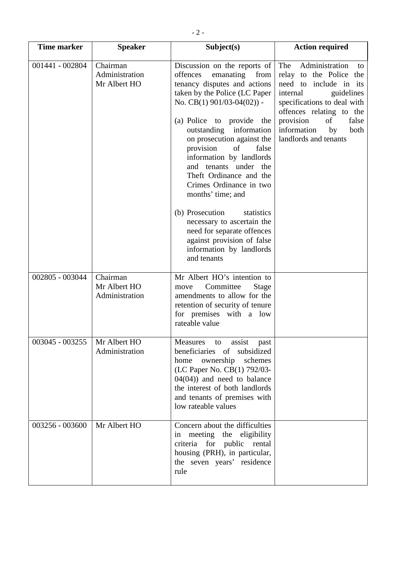| <b>Time marker</b> | <b>Speaker</b>                             | Subject(s)                                                                                                                                                                                                                                                                                                                                                                                                                                                                                                                                                                               | <b>Action required</b>                                                                                                                                                                                                                                  |
|--------------------|--------------------------------------------|------------------------------------------------------------------------------------------------------------------------------------------------------------------------------------------------------------------------------------------------------------------------------------------------------------------------------------------------------------------------------------------------------------------------------------------------------------------------------------------------------------------------------------------------------------------------------------------|---------------------------------------------------------------------------------------------------------------------------------------------------------------------------------------------------------------------------------------------------------|
| 001441 - 002804    | Chairman<br>Administration<br>Mr Albert HO | Discussion on the reports of<br>offences<br>emanating<br>from<br>tenancy disputes and actions<br>taken by the Police (LC Paper<br>No. CB(1) $901/03-04(02)$ -<br>(a) Police to provide<br>the<br>outstanding information<br>on prosecution against the<br>provision<br>of<br>false<br>information by landlords<br>and tenants under the<br>Theft Ordinance and the<br>Crimes Ordinance in two<br>months' time; and<br>(b) Prosecution<br>statistics<br>necessary to ascertain the<br>need for separate offences<br>against provision of false<br>information by landlords<br>and tenants | Administration<br>The<br>to<br>relay to the Police the<br>need to include in its<br>internal<br>guidelines<br>specifications to deal with<br>offences relating to the<br>provision<br>of<br>false<br>information<br>by<br>both<br>landlords and tenants |
| 002805 - 003044    | Chairman<br>Mr Albert HO<br>Administration | Mr Albert HO's intention to<br>Committee<br><b>Stage</b><br>move<br>amendments to allow for the<br>retention of security of tenure<br>for premises with a low<br>rateable value                                                                                                                                                                                                                                                                                                                                                                                                          |                                                                                                                                                                                                                                                         |
| 003045 - 003255    | Mr Albert HO<br>Administration             | <b>Measures</b><br>assist<br>to<br>past<br>beneficiaries<br>subsidized<br>of<br>home ownership<br>schemes<br>(LC Paper No. CB(1) 792/03-<br>$04(04)$ and need to balance<br>the interest of both landlords<br>and tenants of premises with<br>low rateable values                                                                                                                                                                                                                                                                                                                        |                                                                                                                                                                                                                                                         |
| 003256 - 003600    | Mr Albert HO                               | Concern about the difficulties<br>in meeting the eligibility<br>criteria for public rental<br>housing (PRH), in particular,<br>the seven years' residence<br>rule                                                                                                                                                                                                                                                                                                                                                                                                                        |                                                                                                                                                                                                                                                         |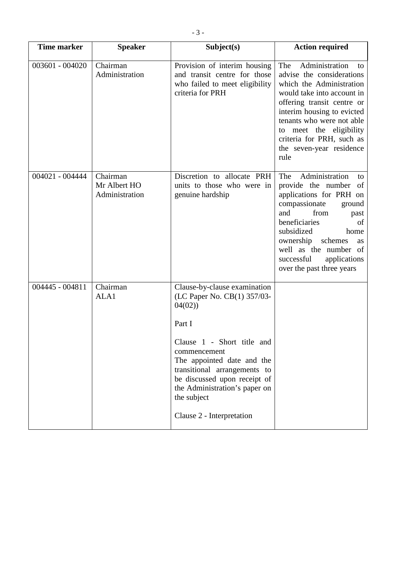| <b>Time marker</b> | <b>Speaker</b>                             | Subject(s)                                                                                                                                                                                                                                                                                               | <b>Action required</b>                                                                                                                                                                                                                                                                                  |
|--------------------|--------------------------------------------|----------------------------------------------------------------------------------------------------------------------------------------------------------------------------------------------------------------------------------------------------------------------------------------------------------|---------------------------------------------------------------------------------------------------------------------------------------------------------------------------------------------------------------------------------------------------------------------------------------------------------|
| 003601 - 004020    | Chairman<br>Administration                 | Provision of interim housing<br>and transit centre for those<br>who failed to meet eligibility<br>criteria for PRH                                                                                                                                                                                       | Administration<br>The<br>to<br>advise the considerations<br>which the Administration<br>would take into account in<br>offering transit centre or<br>interim housing to evicted<br>tenants who were not able<br>to meet the eligibility<br>criteria for PRH, such as<br>the seven-year residence<br>rule |
| 004021 - 004444    | Chairman<br>Mr Albert HO<br>Administration | Discretion to allocate PRH<br>units to those who were in<br>genuine hardship                                                                                                                                                                                                                             | Administration<br>The<br>to<br>provide the number<br>of<br>applications for PRH on<br>compassionate<br>ground<br>and<br>from<br>past<br>beneficiaries<br>of<br>subsidized<br>home<br>ownership<br>schemes<br>as<br>well as the number of<br>successful<br>applications<br>over the past three years     |
| 004445 - 004811    | Chairman<br>ALA1                           | Clause-by-clause examination<br>(LC Paper No. CB(1) 357/03-<br>04(02)<br>Part I<br>Clause 1 - Short title and<br>commencement<br>The appointed date and the<br>transitional arrangements to<br>be discussed upon receipt of<br>the Administration's paper on<br>the subject<br>Clause 2 - Interpretation |                                                                                                                                                                                                                                                                                                         |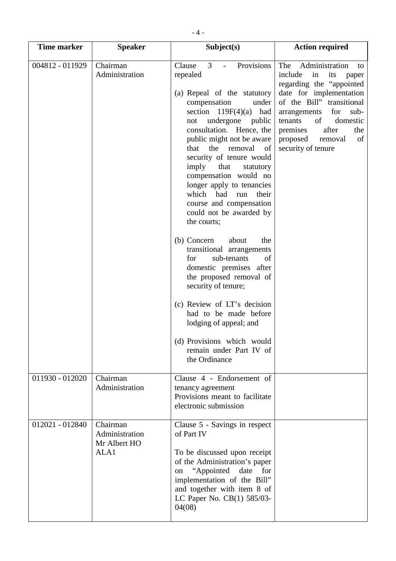| <b>Time marker</b> | <b>Speaker</b>                                     | Subject(s)                                                                                                                                                                                                                                                                                                                                                                                                                                                                                | <b>Action required</b>                                                                                                                                                                                                                                                                       |
|--------------------|----------------------------------------------------|-------------------------------------------------------------------------------------------------------------------------------------------------------------------------------------------------------------------------------------------------------------------------------------------------------------------------------------------------------------------------------------------------------------------------------------------------------------------------------------------|----------------------------------------------------------------------------------------------------------------------------------------------------------------------------------------------------------------------------------------------------------------------------------------------|
| 004812 - 011929    | Chairman<br>Administration                         | Provisions<br>$\overline{3}$<br>Clause<br>$\sim$<br>repealed<br>(a) Repeal of the statutory<br>compensation<br>under<br>section $119F(4)(a)$<br>had<br>undergone public<br>not<br>consultation. Hence, the<br>public might not be aware<br>the<br>that<br>removal<br>of<br>security of tenure would<br>imply<br>that<br>statutory<br>compensation would no<br>longer apply to tenancies<br>which had<br>their<br>run<br>course and compensation<br>could not be awarded by<br>the courts; | Administration<br>The<br>to<br>include<br>in<br>its<br>paper<br>regarding the "appointed"<br>date for implementation<br>of the Bill" transitional<br>for<br>arrangements<br>sub-<br>of<br>domestic<br>tenants<br>after<br>the<br>premises<br>proposed<br>removal<br>of<br>security of tenure |
|                    |                                                    | (b) Concern<br>about<br>the<br>transitional arrangements<br>sub-tenants<br>for<br>of<br>domestic premises after<br>the proposed removal of<br>security of tenure;<br>(c) Review of LT's decision<br>had to be made before<br>lodging of appeal; and<br>(d) Provisions which would<br>remain under Part IV of<br>the Ordinance                                                                                                                                                             |                                                                                                                                                                                                                                                                                              |
| 011930 - 012020    | Chairman<br>Administration                         | Clause 4 - Endorsement of<br>tenancy agreement<br>Provisions meant to facilitate<br>electronic submission                                                                                                                                                                                                                                                                                                                                                                                 |                                                                                                                                                                                                                                                                                              |
| 012021 - 012840    | Chairman<br>Administration<br>Mr Albert HO<br>ALA1 | Clause 5 - Savings in respect<br>of Part IV<br>To be discussed upon receipt<br>of the Administration's paper<br>"Appointed"<br>date<br>for<br>on<br>implementation of the Bill"<br>and together with item 8 of<br>LC Paper No. CB(1) 585/03-<br>04(08)                                                                                                                                                                                                                                    |                                                                                                                                                                                                                                                                                              |